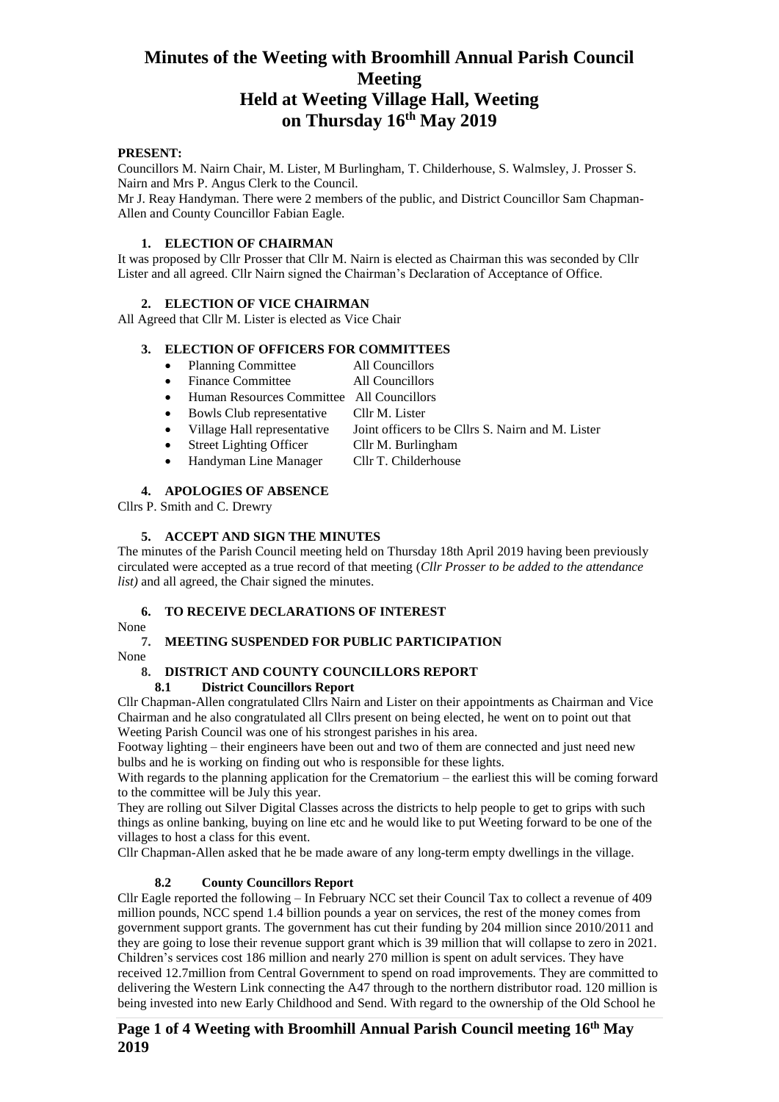#### **PRESENT:**

Councillors M. Nairn Chair, M. Lister, M Burlingham, T. Childerhouse, S. Walmsley, J. Prosser S. Nairn and Mrs P. Angus Clerk to the Council.

Mr J. Reay Handyman. There were 2 members of the public, and District Councillor Sam Chapman-Allen and County Councillor Fabian Eagle.

#### **1. ELECTION OF CHAIRMAN**

It was proposed by Cllr Prosser that Cllr M. Nairn is elected as Chairman this was seconded by Cllr Lister and all agreed. Cllr Nairn signed the Chairman's Declaration of Acceptance of Office.

## **2. ELECTION OF VICE CHAIRMAN**

All Agreed that Cllr M. Lister is elected as Vice Chair

## **3. ELECTION OF OFFICERS FOR COMMITTEES**

- Planning Committee All Councillors
- Finance Committee All Councillors
- Human Resources Committee All Councillors
- Bowls Club representative Cllr M. Lister
- Village Hall representative Joint officers to be Cllrs S. Nairn and M. Lister
- Street Lighting Officer Cllr M. Burlingham
- Handyman Line Manager Cllr T. Childerhouse

## **4. APOLOGIES OF ABSENCE**

Cllrs P. Smith and C. Drewry

## **5. ACCEPT AND SIGN THE MINUTES**

The minutes of the Parish Council meeting held on Thursday 18th April 2019 having been previously circulated were accepted as a true record of that meeting (*Cllr Prosser to be added to the attendance list)* and all agreed, the Chair signed the minutes.

## **6. TO RECEIVE DECLARATIONS OF INTEREST**

None

## **7. MEETING SUSPENDED FOR PUBLIC PARTICIPATION**

None

## **8. DISTRICT AND COUNTY COUNCILLORS REPORT**

**8.1 District Councillors Report**

Cllr Chapman-Allen congratulated Cllrs Nairn and Lister on their appointments as Chairman and Vice Chairman and he also congratulated all Cllrs present on being elected, he went on to point out that Weeting Parish Council was one of his strongest parishes in his area.

Footway lighting – their engineers have been out and two of them are connected and just need new bulbs and he is working on finding out who is responsible for these lights.

With regards to the planning application for the Crematorium – the earliest this will be coming forward to the committee will be July this year.

They are rolling out Silver Digital Classes across the districts to help people to get to grips with such things as online banking, buying on line etc and he would like to put Weeting forward to be one of the villages to host a class for this event.

Cllr Chapman-Allen asked that he be made aware of any long-term empty dwellings in the village.

## **8.2 County Councillors Report**

Cllr Eagle reported the following – In February NCC set their Council Tax to collect a revenue of 409 million pounds, NCC spend 1.4 billion pounds a year on services, the rest of the money comes from government support grants. The government has cut their funding by 204 million since 2010/2011 and they are going to lose their revenue support grant which is 39 million that will collapse to zero in 2021. Children's services cost 186 million and nearly 270 million is spent on adult services. They have received 12.7million from Central Government to spend on road improvements. They are committed to delivering the Western Link connecting the A47 through to the northern distributor road. 120 million is being invested into new Early Childhood and Send. With regard to the ownership of the Old School he

## **Page 1 of 4 Weeting with Broomhill Annual Parish Council meeting 16 th May 2019**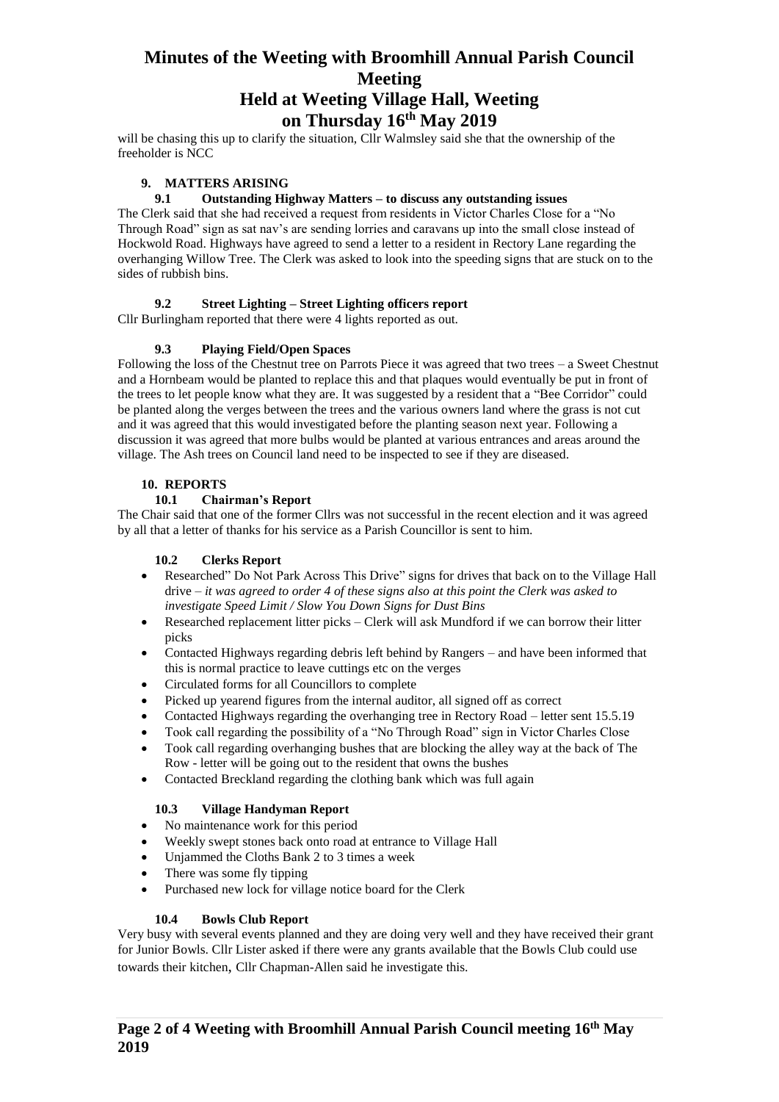will be chasing this up to clarify the situation, Cllr Walmsley said she that the ownership of the freeholder is NCC

## **9. MATTERS ARISING**

#### **9.1 Outstanding Highway Matters – to discuss any outstanding issues**

The Clerk said that she had received a request from residents in Victor Charles Close for a "No Through Road" sign as sat nav's are sending lorries and caravans up into the small close instead of Hockwold Road. Highways have agreed to send a letter to a resident in Rectory Lane regarding the overhanging Willow Tree. The Clerk was asked to look into the speeding signs that are stuck on to the sides of rubbish bins.

## **9.2 Street Lighting – Street Lighting officers report**

Cllr Burlingham reported that there were 4 lights reported as out.

## **9.3 Playing Field/Open Spaces**

Following the loss of the Chestnut tree on Parrots Piece it was agreed that two trees – a Sweet Chestnut and a Hornbeam would be planted to replace this and that plaques would eventually be put in front of the trees to let people know what they are. It was suggested by a resident that a "Bee Corridor" could be planted along the verges between the trees and the various owners land where the grass is not cut and it was agreed that this would investigated before the planting season next year. Following a discussion it was agreed that more bulbs would be planted at various entrances and areas around the village. The Ash trees on Council land need to be inspected to see if they are diseased.

## **10. REPORTS**

## **10.1 Chairman's Report**

The Chair said that one of the former Cllrs was not successful in the recent election and it was agreed by all that a letter of thanks for his service as a Parish Councillor is sent to him.

#### **10.2 Clerks Report**

- Researched" Do Not Park Across This Drive" signs for drives that back on to the Village Hall drive – *it was agreed to order 4 of these signs also at this point the Clerk was asked to investigate Speed Limit / Slow You Down Signs for Dust Bins*
- Researched replacement litter picks Clerk will ask Mundford if we can borrow their litter picks
- Contacted Highways regarding debris left behind by Rangers and have been informed that this is normal practice to leave cuttings etc on the verges
- Circulated forms for all Councillors to complete
- Picked up yearend figures from the internal auditor, all signed off as correct
- Contacted Highways regarding the overhanging tree in Rectory Road letter sent 15.5.19
- Took call regarding the possibility of a "No Through Road" sign in Victor Charles Close
- Took call regarding overhanging bushes that are blocking the alley way at the back of The Row - letter will be going out to the resident that owns the bushes
- Contacted Breckland regarding the clothing bank which was full again

#### **10.3 Village Handyman Report**

- No maintenance work for this period
- Weekly swept stones back onto road at entrance to Village Hall
- Unjammed the Cloths Bank 2 to 3 times a week
- There was some fly tipping
- Purchased new lock for village notice board for the Clerk

#### **10.4 Bowls Club Report**

Very busy with several events planned and they are doing very well and they have received their grant for Junior Bowls. Cllr Lister asked if there were any grants available that the Bowls Club could use towards their kitchen, Cllr Chapman-Allen said he investigate this.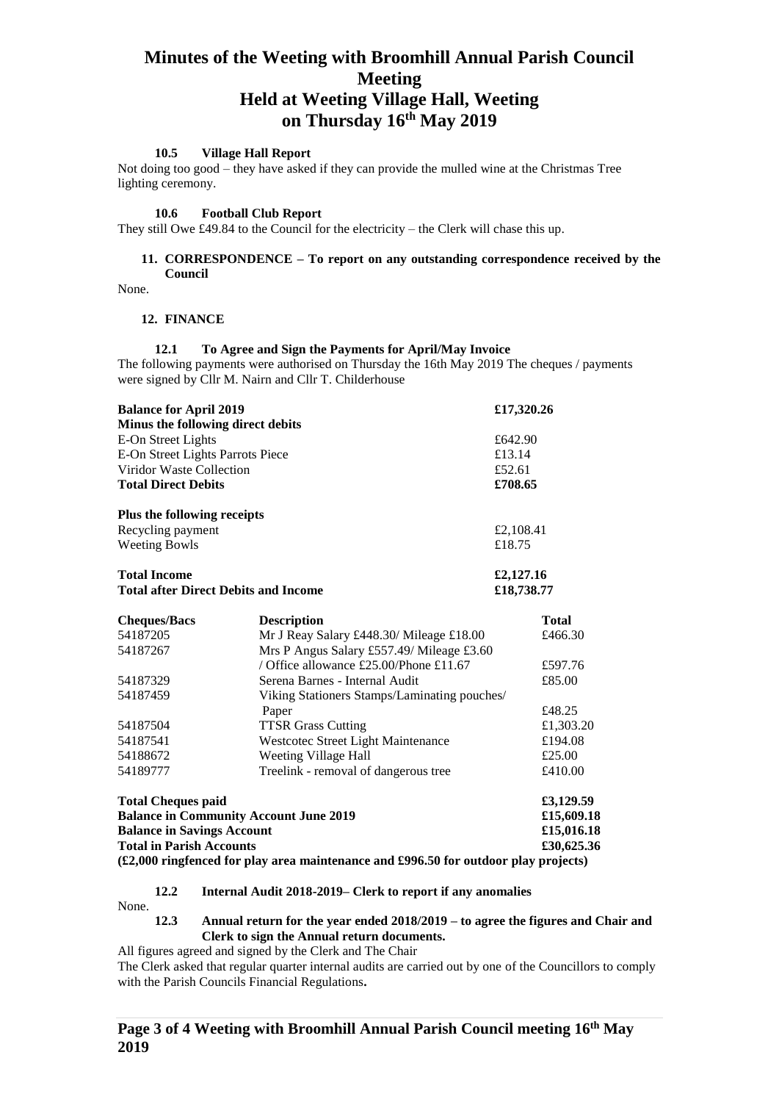## **10.5 Village Hall Report**

Not doing too good – they have asked if they can provide the mulled wine at the Christmas Tree lighting ceremony.

#### **10.6 Football Club Report**

They still Owe £49.84 to the Council for the electricity – the Clerk will chase this up.

#### **11. CORRESPONDENCE – To report on any outstanding correspondence received by the Council**

None.

#### **12. FINANCE**

#### **12.1 To Agree and Sign the Payments for April/May Invoice**

The following payments were authorised on Thursday the 16th May 2019 The cheques / payments were signed by Cllr M. Nairn and Cllr T. Childerhouse

| <b>Balance for April 2019</b>               | £17,320.26 |  |
|---------------------------------------------|------------|--|
| Minus the following direct debits           |            |  |
| E-On Street Lights                          | £642.90    |  |
| E-On Street Lights Parrots Piece            | £13.14     |  |
| Viridor Waste Collection                    | £52.61     |  |
| <b>Total Direct Debits</b>                  | £708.65    |  |
| Plus the following receipts                 |            |  |
| Recycling payment                           | £2,108.41  |  |
| <b>Weeting Bowls</b>                        | £18.75     |  |
| <b>Total Income</b>                         | £2,127.16  |  |
| <b>Total after Direct Debits and Income</b> | £18,738.77 |  |

| <b>Description</b>                            | <b>Total</b> |  |
|-----------------------------------------------|--------------|--|
| Mr J Reay Salary £448.30/ Mileage £18.00      | £466.30      |  |
| Mrs P Angus Salary £557.49/ Mileage £3.60     |              |  |
| / Office allowance £25.00/Phone £11.67        | £597.76      |  |
| Serena Barnes - Internal Audit                | £85.00       |  |
| Viking Stationers Stamps/Laminating pouches/  |              |  |
| Paper                                         | £48.25       |  |
| <b>TTSR Grass Cutting</b>                     | £1,303.20    |  |
| Westcotec Street Light Maintenance            | £194.08      |  |
| Weeting Village Hall                          | £25.00       |  |
| Treelink - removal of dangerous tree.         | £410.00      |  |
|                                               | £3,129.59    |  |
| <b>Balance in Community Account June 2019</b> |              |  |
|                                               |              |  |

**Balance in Savings Account 15,016.18 £15,016.18 Total in Parish Accounts £30,625.36**

**(£2,000 ringfenced for play area maintenance and £996.50 for outdoor play projects)**

#### **12.2 Internal Audit 2018-2019– Clerk to report if any anomalies**

None.

#### **12.3 Annual return for the year ended 2018/2019 – to agree the figures and Chair and Clerk to sign the Annual return documents.**

All figures agreed and signed by the Clerk and The Chair

The Clerk asked that regular quarter internal audits are carried out by one of the Councillors to comply with the Parish Councils Financial Regulations**.**